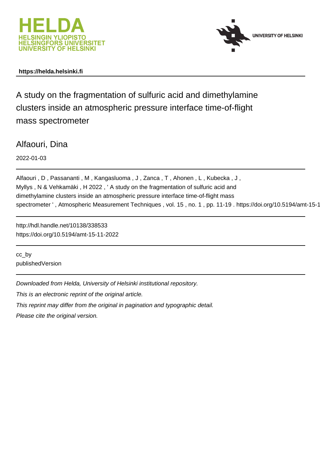



# **https://helda.helsinki.fi**

A study on the fragmentation of sulfuric acid and dimethylamine clusters inside an atmospheric pressure interface time-of-flight mass spectrometer

Alfaouri, Dina

2022-01-03

Alfaouri, D, Passananti, M, Kangasluoma, J, Zanca, T, Ahonen, L, Kubecka, J, Myllys , N & Vehkamäki , H 2022 , ' A study on the fragmentation of sulfuric acid and dimethylamine clusters inside an atmospheric pressure interface time-of-flight mass spectrometer ', Atmospheric Measurement Techniques, vol. 15, no. 1, pp. 11-19. https://doi.org/10.5194/amt-15-1

http://hdl.handle.net/10138/338533 https://doi.org/10.5194/amt-15-11-2022

cc\_by publishedVersion

Downloaded from Helda, University of Helsinki institutional repository.

This is an electronic reprint of the original article.

This reprint may differ from the original in pagination and typographic detail.

Please cite the original version.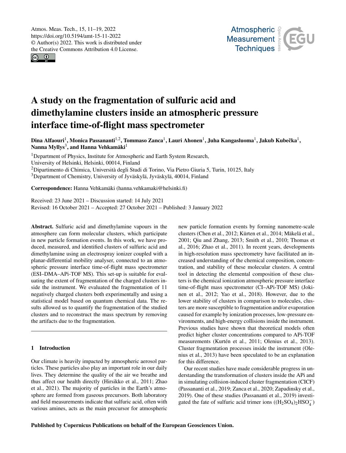$\circledcirc$ 



# A study on the fragmentation of sulfuric acid and dimethylamine clusters inside an atmospheric pressure interface time-of-flight mass spectrometer

Dina Alfaouri<sup>1</sup>, Monica Passananti<sup>1,2</sup>, Tommaso Zanca<sup>1</sup>, Lauri Ahonen<sup>1</sup>, Juha Kangasluoma<sup>1</sup>, Jakub Kubečka<sup>1</sup>, Nanna Myllys $^3$ , and Hanna Vehkamäki $^1$ 

<sup>1</sup>Department of Physics, Institute for Atmospheric and Earth System Research,

University of Helsinki, Helsinki, 00014, Finland

<sup>2</sup>Dipartimento di Chimica, Università degli Studi di Torino, Via Pietro Giuria 5, Turin, 10125, Italy

<sup>3</sup>Department of Chemistry, University of Jyväskylä, Jyväskylä, 40014, Finland

Correspondence: Hanna Vehkamäki (hanna.vehkamaki@helsinki.fi)

Received: 23 June 2021 – Discussion started: 14 July 2021 Revised: 16 October 2021 – Accepted: 27 October 2021 – Published: 3 January 2022

Abstract. Sulfuric acid and dimethylamine vapours in the atmosphere can form molecular clusters, which participate in new particle formation events. In this work, we have produced, measured, and identified clusters of sulfuric acid and dimethylamine using an electrospray ionizer coupled with a planar-differential mobility analyser, connected to an atmospheric pressure interface time-of-flight mass spectrometer (ESI–DMA–APi-TOF MS). This set-up is suitable for evaluating the extent of fragmentation of the charged clusters inside the instrument. We evaluated the fragmentation of 11 negatively charged clusters both experimentally and using a statistical model based on quantum chemical data. The results allowed us to quantify the fragmentation of the studied clusters and to reconstruct the mass spectrum by removing the artifacts due to the fragmentation.

## 1 Introduction

Our climate is heavily impacted by atmospheric aerosol particles. These particles also play an important role in our daily lives. They determine the quality of the air we breathe and thus affect our health directly (Hirsikko et al., 2011; Zhao et al., 2021). The majority of particles in the Earth's atmosphere are formed from gaseous precursors. Both laboratory and field measurements indicate that sulfuric acid, often with various amines, acts as the main precursor for atmospheric new particle formation events by forming nanometre-scale clusters (Chen et al., 2012; Kürten et al., 2014; Mäkelä et al., 2001; Qiu and Zhang, 2013; Smith et al., 2010; Thomas et al., 2016; Zhao et al., 2011). In recent years, developments in high-resolution mass spectrometry have facilitated an increased understanding of the chemical composition, concentration, and stability of these molecular clusters. A central tool in detecting the elemental composition of these clusters is the chemical ionization atmospheric pressure interface time-of-flight mass spectrometer (CI–APi-TOF MS) (Jokinen et al., 2012; Yao et al., 2018). However, due to the lower stability of clusters in comparison to molecules, clusters are more susceptible to fragmentation and/or evaporation caused for example by ionization processes, low-pressure environments, and high-energy collisions inside the instrument. Previous studies have shown that theoretical models often predict higher cluster concentrations compared to APi-TOF measurements (Kurtén et al., 2011; Olenius et al., 2013). Cluster fragmentation processes inside the instrument (Olenius et al., 2013) have been speculated to be an explanation for this difference.

Our recent studies have made considerable progress in understanding the transformation of clusters inside the APi and in simulating collision-induced cluster fragmentation (CICF) (Passananti et al., 2019; Zanca et al., 2020; Zapadinsky et al., 2019). One of these studies (Passananti et al., 2019) investigated the fate of sulfuric acid trimer ions  $((H_2SO_4)_2HSO_4^-)$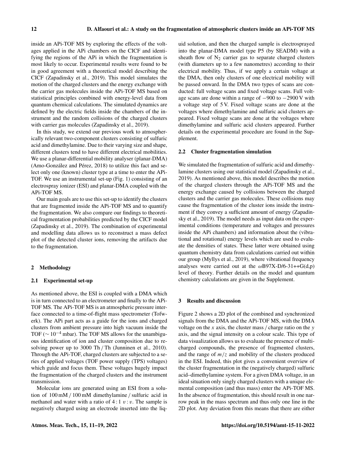inside an APi-TOF MS by exploring the effects of the voltages applied in the APi chambers on the CICF and identifying the regions of the APi in which the fragmentation is most likely to occur. Experimental results were found to be in good agreement with a theoretical model describing the CICF (Zapadinsky et al., 2019). This model simulates the motion of the charged clusters and the energy exchange with the carrier gas molecules inside the APi-TOF MS based on statistical principles combined with energy-level data from quantum chemical calculations. The simulated dynamics are defined by the electric fields inside the chambers of the instrument and the random collisions of the charged clusters with carrier gas molecules (Zapadinsky et al., 2019).

In this study, we extend our previous work to atmospherically relevant two-component clusters consisting of sulfuric acid and dimethylamine. Due to their varying size and shape, different clusters tend to have different electrical mobilities. We use a planar-differential mobility analyser (planar-DMA) (Amo-González and Pérez, 2018) to utilize this fact and select only one (known) cluster type at a time to enter the APi-TOF. We use an instrumental set-up (Fig. 1) consisting of an electrospray ionizer (ESI) and planar-DMA coupled with the APi-TOF MS.

Our main goals are to use this set-up to identify the clusters that are fragmented inside the APi-TOF MS and to quantify the fragmentation. We also compare our findings to theoretical fragmentation probabilities predicted by the CICF model (Zapadinsky et al., 2019). The combination of experimental and modelling data allows us to reconstruct a mass defect plot of the detected cluster ions, removing the artifacts due to the fragmentation.

#### 2 Methodology

#### 2.1 Experimental set-up

As mentioned above, the ESI is coupled with a DMA which is in turn connected to an electrometer and finally to the APi-TOF MS. The APi-TOF MS is an atmospheric pressure interface connected to a time-of-flight mass spectrometer (Tofwerk). The APi part acts as a guide for the ions and charged clusters from ambient pressure into high vacuum inside the TOF ( $\sim$  10<sup>-4</sup> mbar). The TOF MS allows for the unambiguous identification of ion and cluster composition due to resolving power up to 3000 Th / Th (Junninen et al., 2010). Through the APi-TOF, charged clusters are subjected to a series of applied voltages (TOF power supply (TPS) voltages) which guide and focus them. These voltages hugely impact the fragmentation of the charged clusters and the instrument transmission.

Molecular ions are generated using an ESI from a solution of 100 mM / 100 mM dimethylamine / sulfuric acid in methanol and water with a ratio of  $4:1$  v: v. The sample is negatively charged using an electrode inserted into the liquid solution, and then the charged sample is electrosprayed into the planar-DMA model type P5 (by SEADM) with a sheath flow of  $N_2$  carrier gas to separate charged clusters (with diameters up to a few nanometres) according to their electrical mobility. Thus, if we apply a certain voltage at the DMA, then only clusters of one electrical mobility will be passed onward. In the DMA two types of scans are conducted: full voltage scans and fixed voltage scans. Full voltage scans are done within a range of −900 to −2900 V with a voltage step of 5 V. Fixed voltage scans are done at the voltages where dimethylamine and sulfuric acid clusters appeared. Fixed voltage scans are done at the voltages where dimethylamine and sulfuric acid clusters appeared. Further details on the experimental procedure are found in the Supplement.

#### 2.2 Cluster fragmentation simulation

We simulated the fragmentation of sulfuric acid and dimethylamine clusters using our statistical model (Zapadinsky et al., 2019). As mentioned above, this model describes the motion of the charged clusters through the APi-TOF MS and the energy exchange caused by collisions between the charged clusters and the carrier gas molecules. These collisions may cause the fragmentation of the cluster ions inside the instrument if they convey a sufficient amount of energy (Zapadinsky et al., 2019). The model needs as input data on the experimental conditions (temperature and voltages and pressures inside the APi chambers) and information about the (vibrational and rotational) energy levels which are used to evaluate the densities of states. These latter were obtained using quantum chemistry data from calculations carried out within our group (Myllys et al., 2019), where vibrational frequency analyses were carried out at the  $\omega$ B97X-D/6-31++G(d,p) level of theory. Further details on the model and quantum chemistry calculations are given in the Supplement.

### 3 Results and discussion

Figure 2 shows a 2D plot of the combined and synchronized signals from the DMA and the APi-TOF MS, with the DMA voltage on the  $x$  axis, the cluster mass / charge ratio on the  $y$ axis, and the signal intensity on a colour scale. This type of data visualization allows us to evaluate the presence of multicharged compounds, the presence of fragmented clusters, and the range of  $m/z$  and mobility of the clusters produced in the ESI. Indeed, this plot gives a convenient overview of the cluster fragmentation in the (negatively charged) sulfuric acid–dimethylamine system. For a given DMA voltage, in an ideal situation only singly charged clusters with a unique elemental composition (and thus mass) enter the APi-TOF MS. In the absence of fragmentation, this should result in one narrow peak in the mass spectrum and thus only one line in the 2D plot. Any deviation from this means that there are either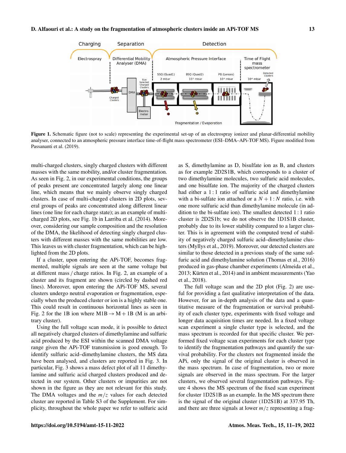

Figure 1. Schematic figure (not to scale) representing the experimental set-up of an electrospray ionizer and planar-differential mobility analyser, connected to an atmospheric pressure interface time-of-flight mass spectrometer (ESI–DMA–APi-TOF MS). Figure modified from Passananti et al. (2019).

multi-charged clusters, singly charged clusters with different masses with the same mobility, and/or cluster fragmentation. As seen in Fig. 2, in our experimental conditions, the groups of peaks present are concentrated largely along one linear line, which means that we mainly observe singly charged clusters. In case of multi-charged clusters in 2D plots, several groups of peaks are concentrated along different linear lines (one line for each charge state); as an example of multicharged 2D plots, see Fig. 1b in Larriba et al. (2014). Moreover, considering our sample composition and the resolution of the DMA, the likelihood of detecting singly charged clusters with different masses with the same mobilities are low. This leaves us with cluster fragmentation, which can be highlighted from the 2D plots.

If a cluster, upon entering the APi-TOF, becomes fragmented, multiple signals are seen at the same voltage but at different mass / charge ratios. In Fig. 2, an example of a cluster and its fragment are shown (circled by dashed red lines). Moreover, upon entering the APi-TOF MS, several clusters undergo neutral evaporation or fragmentation, especially when the produced cluster or ion is a highly stable one. This could result in continuous horizontal lines as seen in Fig. 2 for the 1B ion where M1B  $\rightarrow$  M + 1B (M is an arbitrary cluster).

Using the full voltage scan mode, it is possible to detect all negatively charged clusters of dimethylamine and sulfuric acid produced by the ESI within the scanned DMA voltage range given the APi-TOF transmission is good enough. To identify sulfuric acid–dimethylamine clusters, the MS data have been analysed, and clusters are reported in Fig. 3. In particular, Fig. 3 shows a mass defect plot of all 11 dimethylamine and sulfuric acid charged clusters produced and detected in our system. Other clusters or impurities are not shown in the figure as they are not relevant for this study. The DMA voltages and the  $m/z$  values for each detected cluster are reported in Table S3 of the Supplement. For simplicity, throughout the whole paper we refer to sulfuric acid as S, dimethylamine as D, bisulfate ion as B, and clusters as for example 2D2S1B, which corresponds to a cluster of two dimethylamine molecules, two sulfuric acid molecules, and one bisulfate ion. The majority of the charged clusters had either a 1:1 ratio of sulfuric acid and dimethylamine with a bi-sulfate ion attached or a  $N + 1$ : N ratio, i.e. with one more sulfuric acid than dimethylamine molecule (in addition to the bi-sulfate ion). The smallest detected 1 : 1 ratio cluster is 2D2S1b; we do not observe the 1D1S1B cluster, probably due to its lower stability compared to a larger cluster. This is in agreement with the computed trend of stability of negatively charged sulfuric acid–dimethylamine clusters (Myllys et al., 2019). Moreover, our detected clusters are similar to those detected in a previous study of the same sulfuric acid and dimethylamine solution (Thomas et al., 2016) produced in gas-phase chamber experiments (Almeida et al., 2013; Kürten et al., 2014) and in ambient measurements (Yao et al., 2018).

The full voltage scan and the 2D plot (Fig. 2) are useful for providing a fast qualitative interpretation of the data. However, for an in-depth analysis of the data and a quantitative measure of the fragmentation or survival probability of each cluster type, experiments with fixed voltage and longer data acquisition times are needed. In a fixed voltage scan experiment a single cluster type is selected, and the mass spectrum is recorded for that specific cluster. We performed fixed voltage scan experiments for each cluster type to identify the fragmentation pathways and quantify the survival probability. For the clusters not fragmented inside the APi, only the signal of the original cluster is observed in the mass spectrum. In case of fragmentation, two or more signals are observed in the mass spectrum. For the larger clusters, we observed several fragmentation pathways. Figure 4 shows the MS spectrum of the fixed scan experiment for cluster 1D2S1B as an example. In the MS spectrum there is the signal of the original cluster (1D2S1B) at 337.95 Th, and there are three signals at lower  $m/z$  representing a frag-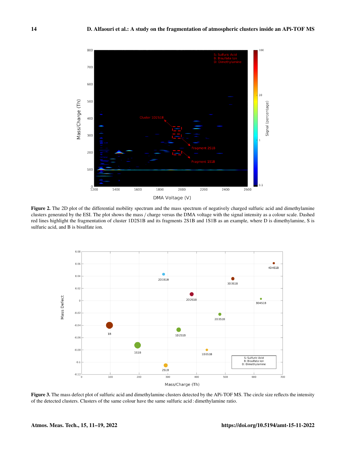

Figure 2. The 2D plot of the differential mobility spectrum and the mass spectrum of negatively charged sulfuric acid and dimethylamine clusters generated by the ESI. The plot shows the mass / charge versus the DMA voltage with the signal intensity as a colour scale. Dashed red lines highlight the fragmentation of cluster 1D2S1B and its fragments 2S1B and 1S1B as an example, where D is dimethylamine, S is sulfuric acid, and B is bisulfate ion.



Figure 3. The mass defect plot of sulfuric acid and dimethylamine clusters detected by the APi-TOF MS. The circle size reflects the intensity of the detected clusters. Clusters of the same colour have the same sulfuric acid : dimethylamine ratio.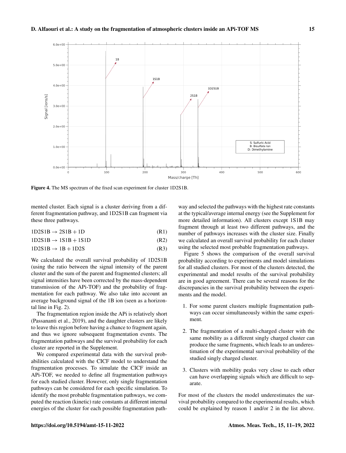

Figure 4. The MS spectrum of the fixed scan experiment for cluster 1D2S1B.

mented cluster. Each signal is a cluster deriving from a different fragmentation pathway, and 1D2S1B can fragment via these three pathways.

| $1D2S1B \rightarrow 2S1B + 1D$ |  |
|--------------------------------|--|
|--------------------------------|--|

 $1D2S1B \rightarrow 1S1B + 1S1D$  (R2)

$$
1D2S1B \to 1B + 1D2S \tag{R3}
$$

We calculated the overall survival probability of 1D2S1B (using the ratio between the signal intensity of the parent cluster and the sum of the parent and fragmented clusters; all signal intensities have been corrected by the mass-dependent transmission of the APi-TOF) and the probability of fragmentation for each pathway. We also take into account an average background signal of the 1B ion (seen as a horizontal line in Fig. 2).

The fragmentation region inside the APi is relatively short (Passananti et al., 2019), and the daughter clusters are likely to leave this region before having a chance to fragment again, and thus we ignore subsequent fragmentation events. The fragmentation pathways and the survival probability for each cluster are reported in the Supplement.

We compared experimental data with the survival probabilities calculated with the CICF model to understand the fragmentation processes. To simulate the CICF inside an APi-TOF, we needed to define all fragmentation pathways for each studied cluster. However, only single fragmentation pathways can be considered for each specific simulation. To identify the most probable fragmentation pathways, we computed the reaction (kinetic) rate constants at different internal energies of the cluster for each possible fragmentation path-

way and selected the pathways with the highest rate constants at the typical/average internal energy (see the Supplement for more detailed information). All clusters except 1S1B may fragment through at least two different pathways, and the number of pathways increases with the cluster size. Finally we calculated an overall survival probability for each cluster using the selected most probable fragmentation pathways.

Figure 5 shows the comparison of the overall survival probability according to experiments and model simulations for all studied clusters. For most of the clusters detected, the experimental and model results of the survival probability are in good agreement. There can be several reasons for the discrepancies in the survival probability between the experiments and the model.

- 1. For some parent clusters multiple fragmentation pathways can occur simultaneously within the same experiment.
- 2. The fragmentation of a multi-charged cluster with the same mobility as a different singly charged cluster can produce the same fragments, which leads to an underestimation of the experimental survival probability of the studied singly charged cluster.
- 3. Clusters with mobility peaks very close to each other can have overlapping signals which are difficult to separate.

For most of the clusters the model underestimates the survival probability compared to the experimental results, which could be explained by reason 1 and/or 2 in the list above.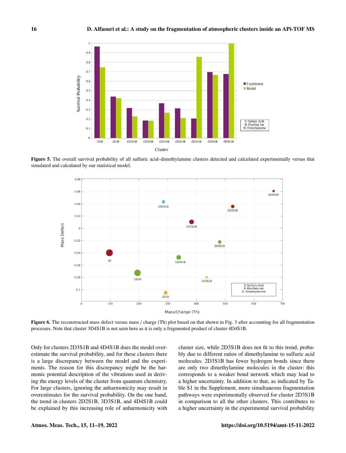

Figure 5. The overall survival probability of all sulfuric acid–dimethylamine clusters detected and calculated experimentally versus that simulated and calculated by our statistical model.



Figure 6. The reconstructed mass defect versus mass / charge (Th) plot based on that shown in Fig. 3 after accounting for all fragmentation processes. Note that cluster 3D4S1B is not seen here as it is only a fragmented product of cluster 4D4S1B.

Only for clusters 2D3S1B and 4D4S1B does the model overestimate the survival probability, and for these clusters there is a large discrepancy between the model and the experiments. The reason for this discrepancy might be the harmonic potential description of the vibrations used in deriving the energy levels of the cluster from quantum chemistry. For large clusters, ignoring the anharmonicity may result in overestimates for the survival probability. On the one hand, the trend in clusters 2D2S1B, 3D3S1B, and 4D4S1B could be explained by this increasing role of anharmonicity with cluster size, while 2D3S1B does not fit to this trend, probably due to different ratios of dimethylamine to sulfuric acid molecules. 2D3S1B has fewer hydrogen bonds since there are only two dimethylamine molecules in the cluster: this corresponds to a weaker bond network which may lead to a higher uncertainty. In addition to that, as indicated by Table S1 in the Supplement, more simultaneous fragmentation pathways were experimentally observed for cluster 2D3S1B in comparison to all the other clusters. This contributes to a higher uncertainty in the experimental survival probability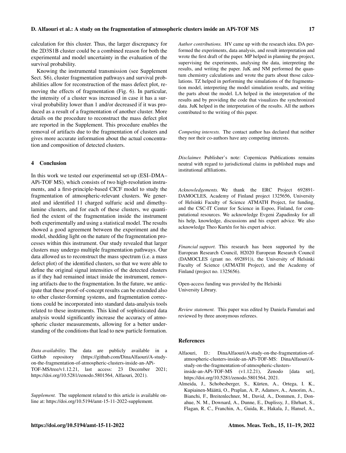calculation for this cluster. Thus, the larger discrepancy for the 2D3S1B cluster could be a combined reason for both the experimental and model uncertainty in the evaluation of the survival probability.

Knowing the instrumental transmission (see Supplement Sect. S6), cluster fragmentation pathways and survival probabilities allow for reconstruction of the mass defect plot, removing the effects of fragmentation (Fig. 6). In particular, the intensity of a cluster was increased in case it has a survival probability lower than 1 and/or decreased if it was produced as a result of a fragmentation of another cluster. More details on the procedure to reconstruct the mass defect plot are reported in the Supplement. This procedure enables the removal of artifacts due to the fragmentation of clusters and gives more accurate information about the actual concentration and composition of detected clusters.

### 4 Conclusion

In this work we tested our experimental set-up (ESI–DMA– APi-TOF MS), which consists of two high-resolution instruments, and a first-principle-based CICF model to study the fragmentation of atmospheric-relevant clusters. We generated and identified 11 charged sulfuric acid and dimethylamine clusters, and for each of these clusters, we quantified the extent of the fragmentation inside the instrument both experimentally and using a statistical model. The results showed a good agreement between the experiment and the model, shedding light on the nature of the fragmentation processes within this instrument. Our study revealed that larger clusters may undergo multiple fragmentation pathways. Our data allowed us to reconstruct the mass spectrum (i.e. a mass defect plot) of the identified clusters, so that we were able to define the original signal intensities of the detected clusters as if they had remained intact inside the instrument, removing artifacts due to the fragmentation. In the future, we anticipate that these proof-of-concept results can be extended also to other cluster-forming systems, and fragmentation corrections could be incorporated into standard data-analysis tools related to these instruments. This kind of sophisticated data analysis would significantly increase the accuracy of atmospheric cluster measurements, allowing for a better understanding of the conditions that lead to new particle formation.

*Data availability.* The data are publicly available in a GitHub repository [\(https://github.com/DinaAlfaouri/A-study](https://github.com/DinaAlfaouri/A-study-on-the-fragmentation-of-atmospheric-clusters-inside-an-APi-TOF-MS/tree/v1.12.21)[on-the-fragmentation-of-atmospheric-clusters-inside-an-APi-](https://github.com/DinaAlfaouri/A-study-on-the-fragmentation-of-atmospheric-clusters-inside-an-APi-TOF-MS/tree/v1.12.21)[TOF-MS/tree/v1.12.21,](https://github.com/DinaAlfaouri/A-study-on-the-fragmentation-of-atmospheric-clusters-inside-an-APi-TOF-MS/tree/v1.12.21) last access: 23 December 2021; https://doi.org[/10.5281/zenodo.5801564,](https://doi.org/10.5281/zenodo.5801564) Alfaouri, 2021).

*Supplement.* The supplement related to this article is available online at: [https://doi.org/10.5194/amt-15-11-2022-supplement.](https://doi.org/10.5194/amt-15-11-2022-supplement)

*Author contributions.* HV came up with the research idea. DA performed the experiments, data analysis, and result interpretation and wrote the first draft of the paper. MP helped in planning the project, supervising the experiments, analysing the data, interpreting the results, and writing the paper. JaK and NM performed the quantum chemistry calculations and wrote the parts about those calculations. TZ helped in performing the simulations of the fragmentation model, interpreting the model simulation results, and writing the parts about the model. LA helped in the interpretation of the results and by providing the code that visualizes the synchronized data. JuK helped in the interpretation of the results. All the authors contributed to the writing of this paper.

*Competing interests.* The contact author has declared that neither they nor their co-authors have any competing interests.

*Disclaimer.* Publisher's note: Copernicus Publications remains neutral with regard to jurisdictional claims in published maps and institutional affiliations.

*Acknowledgements.* We thank the ERC Project 692891- DAMOCLES, Academy of Finland project 1325656, University of Helsinki Faculty of Science ATMATH Project, for funding, and the CSC-IT Center for Science in Espoo, Finland, for computational resources. We acknowledge Evgeni Zapadinsky for all his help, knowledge, discussions and his expert advice. We also acknowledge Theo Kurtén for his expert advice.

*Financial support.* This research has been supported by the European Research Council, H2020 European Research Council (DAMOCLES (grant no. 692891)), the University of Helsinki Faculty of Science (ATMATH Project), and the Academy of Finland (project no. 1325656).

Open-access funding was provided by the Helsinki University Library.

*Review statement.* This paper was edited by Daniela Famulari and reviewed by three anonymous referees.

#### References

- Alfaouri, D.: DinaAlfaouri/A-study-on-the-fragmentation-ofatmospheric-clusters-inside-an-APi-TOF-MS: DinaAlfaouri/Astudy-on-the-fragmentation-of-atmospheric-clustersinside-an-APi-TOF-MS (v1.12.21), Zenodo [data set], https://doi.org[/10.5281/zenodo.5801564,](https://doi.org/10.5281/zenodo.5801564) 2021.
- Almeida, J., Schobesberger, S., Kürten, A., Ortega, I. K., Kupiainen-Määttä, O., Praplan, A. P., Adamov, A., Amorim, A., Bianchi, F., Breitenlechner, M., David, A., Dommen, J., Donahue, N. M., Downard, A., Dunne, E., Duplissy, J., Ehrhart, S., Flagan, R. C., Franchin, A., Guida, R., Hakala, J., Hansel, A.,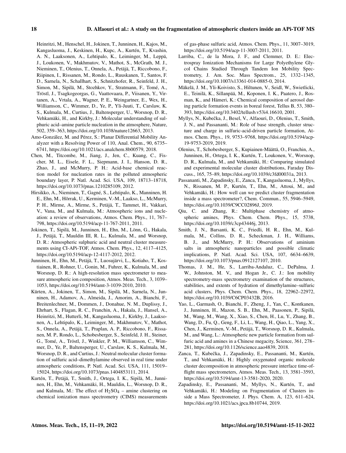Heinritzi, M., Henschel, H., Jokinen, T., Junninen, H., Kajos, M., Kangasluoma, J., Keskinen, H., Kupc, A., Kurtén, T., Kvashin, A. N., Laaksonen, A., Lehtipalo, K., Leiminger, M., Leppä, J., Loukonen, V., Makhmutov, V., Mathot, S., McGrath, M. J., Nieminen, T., Olenius, T., Onnela, A., Petäjä, T., Riccobono, F., Riipinen, I., Rissanen, M., Rondo, L., Ruuskanen, T., Santos, F. D., Sarnela, N., Schallhart, S., Schnitzhofer, R., Seinfeld, J. H., Simon, M., Sipilä, M., Stozhkov, Y., Stratmann, F., Tomé, A., Tröstl, J., Tsagkogeorgas, G., Vaattovaara, P., Viisanen, Y., Virtanen, A., Vrtala, A., Wagner, P. E., Weingartner, E., Wex, H., Williamson, C., Wimmer, D., Ye, P., Yli-Juuti, T., Carslaw, K. S., Kulmala, M., Curtius, J., Baltensperger, U., Worsnop, D. R., Vehkamäki, H., and Kirkby, J.: Molecular understanding of sulphuric acid–amine particle nucleation in the atmosphere, Nature, 502, 359–363, https://doi.org[/10.1038/nature12663,](https://doi.org/10.1038/nature12663) 2013.

- Amo-González, M. and Pérez, S.: Planar Differential Mobility Analyzer with a Resolving Power of 110, Anal. Chem., 90, 6735– 6741, https://doi.org[/10.1021/acs.analchem.8b00579,](https://doi.org/10.1021/acs.analchem.8b00579) 2018.
- Chen, M., Titcombe, M., Jiang, J., Jen, C., Kuang, C., Fischer, M. L., Eisele, F. L., Siepmann, J. I., Hanson, D. R., Zhao, J., and McMurry, P. H.: Acid-base chemical reaction model for nucleation rates in the polluted atmospheric boundary layer, P. Natl. Acad. Sci. USA, 109, 18713–18718, https://doi.org[/10.1073/pnas.1210285109,](https://doi.org/10.1073/pnas.1210285109) 2012.
- Hirsikko, A., Nieminen, T., Gagné, S., Lehtipalo, K., Manninen, H. E., Ehn, M., Hõrrak, U., Kerminen, V.-M., Laakso, L., McMurry, P. H., Mirme, A., Mirme, S., Petäjä, T., Tammet, H., Vakkari, V., Vana, M., and Kulmala, M.: Atmospheric ions and nucleation: a review of observations, Atmos. Chem. Phys., 11, 767– 798, https://doi.org[/10.5194/acp-11-767-2011,](https://doi.org/10.5194/acp-11-767-2011) 2011.
- Jokinen, T., Sipilä, M., Junninen, H., Ehn, M., Lönn, G., Hakala, J., Petäjä, T., Mauldin III, R. L., Kulmala, M., and Worsnop, D. R.: Atmospheric sulphuric acid and neutral cluster measurements using CI-APi-TOF, Atmos. Chem. Phys., 12, 4117–4125, https://doi.org[/10.5194/acp-12-4117-2012,](https://doi.org/10.5194/acp-12-4117-2012) 2012.
- Junninen, H., Ehn, M., Petäjä, T., Luosujärvi, L., Kotiaho, T., Kostiainen, R., Rohner, U., Gonin, M., Fuhrer, K., Kulmala, M., and Worsnop, D. R.: A high-resolution mass spectrometer to measure atmospheric ion composition, Atmos. Meas. Tech., 3, 1039– 1053, https://doi.org[/10.5194/amt-3-1039-2010,](https://doi.org/10.5194/amt-3-1039-2010) 2010.
- Kürten, A., Jokinen, T., Simon, M., Sipilä, M., Sarnela, N., Junninen, H., Adamov, A., Almeida, J., Amorim, A., Bianchi, F., Breitenlechner, M., Dommen, J., Donahue, N. M., Duplissy, J., Ehrhart, S., Flagan, R. C., Franchin, A., Hakala, J., Hansel, A., Heinritzi, M., Hutterli, M., Kangasluoma, J., Kirkby, J., Laaksonen, A., Lehtipalo, K., Leiminger, M., Makhmutov, V., Mathot, S., Onnela, A., Petäjä, T., Praplan, A. P., Riccobono, F., Rissanen, M. P., Rondo, L., Schobesberger, S., Seinfeld, J. H., Steiner, G., Tomé, A., Tröstl, J., Winkler, P. M., Williamson, C., Wimmer, D., Ye, P., Baltensperger, U., Carslaw, K. S., Kulmala, M., Worsnop, D. R., and Curtius, J.: Neutral molecular cluster formation of sulfuric acid–dimethylamine observed in real time under atmospheric conditions, P. Natl. Acad. Sci. USA, 111, 15019– 15024, https://doi.org[/10.1073/pnas.1404853111,](https://doi.org/10.1073/pnas.1404853111) 2014.
- Kurtén, T., Petäjä, T., Smith, J., Ortega, I. K., Sipilä, M., Junninen, H., Ehn, M., Vehkamäki, H., Mauldin, L., Worsnop, D. R., and Kulmala, M.: The effect of  $H_2SO_4$  – amine clustering on chemical ionization mass spectrometry (CIMS) measurements

of gas-phase sulfuric acid, Atmos. Chem. Phys., 11, 3007–3019, https://doi.org[/10.5194/acp-11-3007-2011,](https://doi.org/10.5194/acp-11-3007-2011) 2011.

- Larriba, C., de la Mora, J. F., and Clemmer, D. E.: Electrospray Ionization Mechanisms for Large Polyethylene Glycol Chains Studied Through Tandem Ion Mobility Spectrometry, J. Am. Soc. Mass Spectrom., 25, 1332–1345, https://doi.org[/10.1007/s13361-014-0885-0,](https://doi.org/10.1007/s13361-014-0885-0) 2014.
- Mäkelä, J. M., Yli-Koivisto, S., Hiltunen, V., Seidl, W., Swietlicki, E., Teinilä, K., Sillanpää, M., Koponen, I. K., Paatero, J., Rosman, K., and Hämeri, K.: Chemical composition of aerosol during particle formation events in boreal forest, Tellus B, 53, 380– 393, https://doi.org[/10.3402/tellusb.v53i4.16610,](https://doi.org/10.3402/tellusb.v53i4.16610) 2001.
- Myllys, N., Kubečka, J., Besel, V., Alfaouri, D., Olenius, T., Smith, J. N., and Passananti, M.: Role of base strength, cluster structure and charge in sulfuric-acid-driven particle formation, Atmos. Chem. Phys., 19, 9753–9768, https://doi.org[/10.5194/acp-](https://doi.org/10.5194/acp-19-9753-2019)[19-9753-2019,](https://doi.org/10.5194/acp-19-9753-2019) 2019.
- Olenius, T., Schobesberger, S., Kupiainen-Määttä, O., Franchin, A., Junninen, H., Ortega, I. K., Kurtén, T., Loukonen, V., Worsnop, D. R., Kulmala, M., and Vehkamäki, H.: Comparing simulated and experimental molecular cluster distributions, Faraday Discuss., 165, 75–89, https://doi.org[/10.1039/c3fd00031a,](https://doi.org/10.1039/c3fd00031a) 2013.
- Passananti, M., Zapadinsky, E., Zanca, T., Kangasluoma, J., Myllys, N., Rissanen, M. P., Kurtén, T., Ehn, M., Attoui, M., and Vehkamäki, H.: How well can we predict cluster fragmentation inside a mass spectrometer?, Chem. Commun., 55, 5946–5949, https://doi.org[/10.1039/C9CC02896J,](https://doi.org/10.1039/C9CC02896J) 2019.
- Qiu, C. and Zhang, R.: Multiphase chemistry of atmospheric amines, Phys. Chem. Chem. Phys., 15, 5738, https://doi.org[/10.1039/c3cp43446j,](https://doi.org/10.1039/c3cp43446j) 2013.
- Smith, J. N., Barsanti, K. C., Friedli, H. R., Ehn, M., Kulmala, M., Collins, D. R., Scheckman, J. H., Williams, B. J., and McMurry, P. H.: Observations of aminium salts in atmospheric nanoparticles and possible climatic implications, P. Natl. Acad. Sci. USA, 107, 6634–6639, https://doi.org[/10.1073/pnas.0912127107,](https://doi.org/10.1073/pnas.0912127107) 2010.
- Thomas, J. M., He, S., Larriba-Andaluz, C., DePalma, J. W., Johnston, M. V., and Hogan Jr., C. J.: Ion mobility spectrometry-mass spectrometry examination of the structures, stabilities, and extents of hydration of dimethylamine–sulfuric acid clusters, Phys. Chem. Chem. Phys., 18, 22962–22972, https://doi.org[/10.1039/C6CP03432B,](https://doi.org/10.1039/C6CP03432B) 2016.
- Yao, L., Garmash, O., Bianchi, F., Zheng, J., Yan, C., Kontkanen, J., Junninen, H., Mazon, S. B., Ehn, M., Paasonen, P., Sipilä, M., Wang, M., Wang, X., Xiao, S., Chen, H., Lu, Y., Zhang, B., Wang, D., Fu, Q., Geng, F., Li, L., Wang, H., Qiao, L., Yang, X., Chen, J., Kerminen, V.-M., Petäjä, T., Worsnop, D. R., Kulmala, M., and Wang, L.: Atmospheric new particle formation from sulfuric acid and amines in a Chinese megacity, Science, 361, 278– 281, https://doi.org[/10.1126/science.aao4839,](https://doi.org/10.1126/science.aao4839) 2018.
- Zanca, T., Kubečka, J., Zapadinsky, E., Passananti, M., Kurtén, T., and Vehkamäki, H.: Highly oxygenated organic molecule cluster decomposition in atmospheric pressure interface time-offlight mass spectrometers, Atmos. Meas. Tech., 13, 3581-3593, https://doi.org[/10.5194/amt-13-3581-2020,](https://doi.org/10.5194/amt-13-3581-2020) 2020.
- Zapadinsky, E., Passananti, M., Myllys, N., Kurtén, T., and Vehkamäki, H.: Modeling on Fragmentation of Clusters inside a Mass Spectrometer, J. Phys. Chem. A, 123, 611–624, https://doi.org[/10.1021/acs.jpca.8b10744,](https://doi.org/10.1021/acs.jpca.8b10744) 2019.